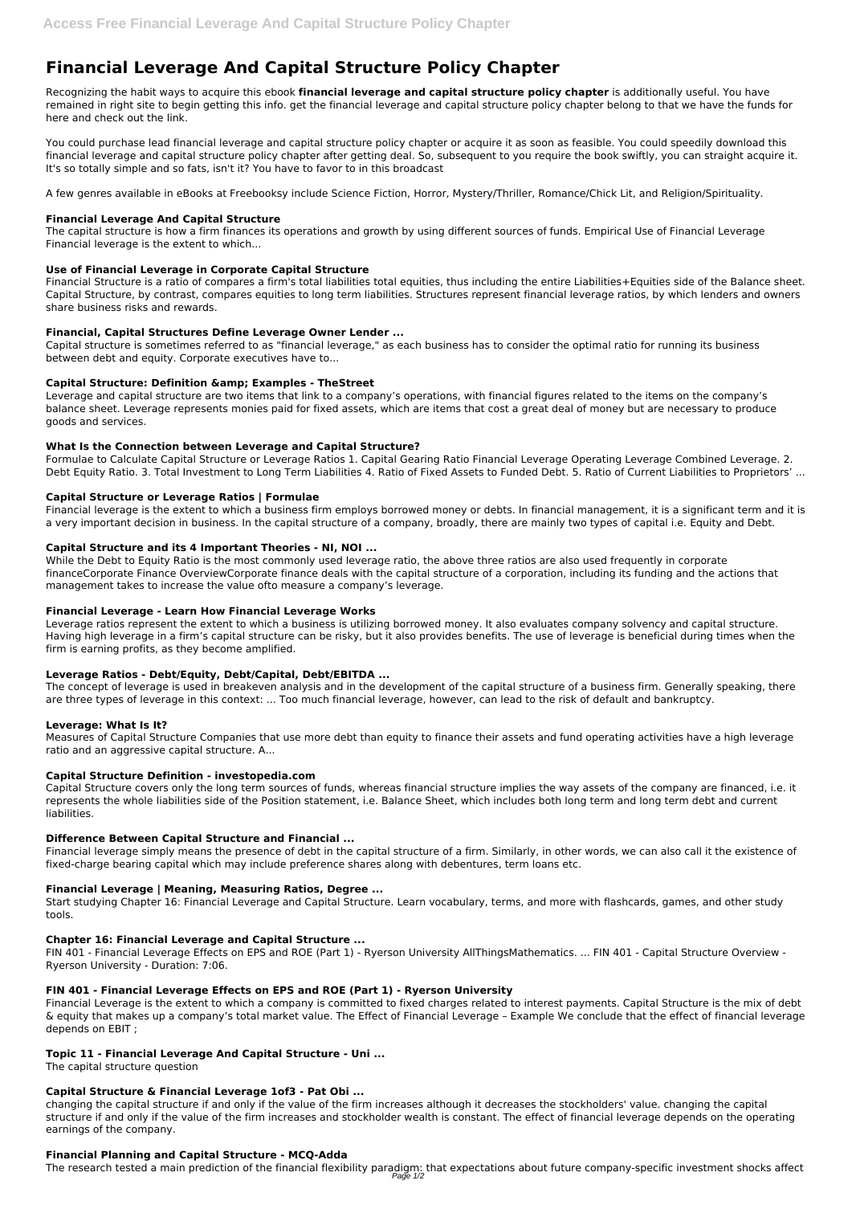# **Financial Leverage And Capital Structure Policy Chapter**

Recognizing the habit ways to acquire this ebook **financial leverage and capital structure policy chapter** is additionally useful. You have remained in right site to begin getting this info. get the financial leverage and capital structure policy chapter belong to that we have the funds for here and check out the link.

You could purchase lead financial leverage and capital structure policy chapter or acquire it as soon as feasible. You could speedily download this financial leverage and capital structure policy chapter after getting deal. So, subsequent to you require the book swiftly, you can straight acquire it. It's so totally simple and so fats, isn't it? You have to favor to in this broadcast

A few genres available in eBooks at Freebooksy include Science Fiction, Horror, Mystery/Thriller, Romance/Chick Lit, and Religion/Spirituality.

# **Financial Leverage And Capital Structure**

The capital structure is how a firm finances its operations and growth by using different sources of funds. Empirical Use of Financial Leverage Financial leverage is the extent to which...

Formulae to Calculate Capital Structure or Leverage Ratios 1. Capital Gearing Ratio Financial Leverage Operating Leverage Combined Leverage. 2. Debt Equity Ratio. 3. Total Investment to Long Term Liabilities 4. Ratio of Fixed Assets to Funded Debt. 5. Ratio of Current Liabilities to Proprietors' ...

# **Use of Financial Leverage in Corporate Capital Structure**

Financial Structure is a ratio of compares a firm's total liabilities total equities, thus including the entire Liabilities+Equities side of the Balance sheet. Capital Structure, by contrast, compares equities to long term liabilities. Structures represent financial leverage ratios, by which lenders and owners share business risks and rewards.

# **Financial, Capital Structures Define Leverage Owner Lender ...**

Capital structure is sometimes referred to as "financial leverage," as each business has to consider the optimal ratio for running its business between debt and equity. Corporate executives have to...

# **Capital Structure: Definition & Examples - TheStreet**

Leverage and capital structure are two items that link to a company's operations, with financial figures related to the items on the company's balance sheet. Leverage represents monies paid for fixed assets, which are items that cost a great deal of money but are necessary to produce goods and services.

# **What Is the Connection between Leverage and Capital Structure?**

### **Capital Structure or Leverage Ratios | Formulae**

Financial leverage is the extent to which a business firm employs borrowed money or debts. In financial management, it is a significant term and it is a very important decision in business. In the capital structure of a company, broadly, there are mainly two types of capital i.e. Equity and Debt.

### **Capital Structure and its 4 Important Theories - NI, NOI ...**

While the Debt to Equity Ratio is the most commonly used leverage ratio, the above three ratios are also used frequently in corporate financeCorporate Finance OverviewCorporate finance deals with the capital structure of a corporation, including its funding and the actions that management takes to increase the value ofto measure a company's leverage.

### **Financial Leverage - Learn How Financial Leverage Works**

Leverage ratios represent the extent to which a business is utilizing borrowed money. It also evaluates company solvency and capital structure. Having high leverage in a firm's capital structure can be risky, but it also provides benefits. The use of leverage is beneficial during times when the firm is earning profits, as they become amplified.

### **Leverage Ratios - Debt/Equity, Debt/Capital, Debt/EBITDA ...**

The concept of leverage is used in breakeven analysis and in the development of the capital structure of a business firm. Generally speaking, there are three types of leverage in this context: ... Too much financial leverage, however, can lead to the risk of default and bankruptcy.

### **Leverage: What Is It?**

Measures of Capital Structure Companies that use more debt than equity to finance their assets and fund operating activities have a high leverage ratio and an aggressive capital structure. A...

### **Capital Structure Definition - investopedia.com**

Capital Structure covers only the long term sources of funds, whereas financial structure implies the way assets of the company are financed, i.e. it represents the whole liabilities side of the Position statement, i.e. Balance Sheet, which includes both long term and long term debt and current liabilities.

### **Difference Between Capital Structure and Financial ...**

Financial leverage simply means the presence of debt in the capital structure of a firm. Similarly, in other words, we can also call it the existence of fixed-charge bearing capital which may include preference shares along with debentures, term loans etc.

### **Financial Leverage | Meaning, Measuring Ratios, Degree ...**

Start studying Chapter 16: Financial Leverage and Capital Structure. Learn vocabulary, terms, and more with flashcards, games, and other study

tools.

#### **Chapter 16: Financial Leverage and Capital Structure ...**

FIN 401 - Financial Leverage Effects on EPS and ROE (Part 1) - Ryerson University AllThingsMathematics. ... FIN 401 - Capital Structure Overview - Ryerson University - Duration: 7:06.

### **FIN 401 - Financial Leverage Effects on EPS and ROE (Part 1) - Ryerson University**

Financial Leverage is the extent to which a company is committed to fixed charges related to interest payments. Capital Structure is the mix of debt & equity that makes up a company's total market value. The Effect of Financial Leverage – Example We conclude that the effect of financial leverage depends on EBIT ;

#### **Topic 11 - Financial Leverage And Capital Structure - Uni ...**

The capital structure question

#### **Capital Structure & Financial Leverage 1of3 - Pat Obi ...**

changing the capital structure if and only if the value of the firm increases although it decreases the stockholders' value. changing the capital structure if and only if the value of the firm increases and stockholder wealth is constant. The effect of financial leverage depends on the operating earnings of the company.

#### **Financial Planning and Capital Structure - MCQ-Adda**

The research tested a main prediction of the financial flexibility paradigm: that expectations about future company-specific investment shocks affect Page 1/2